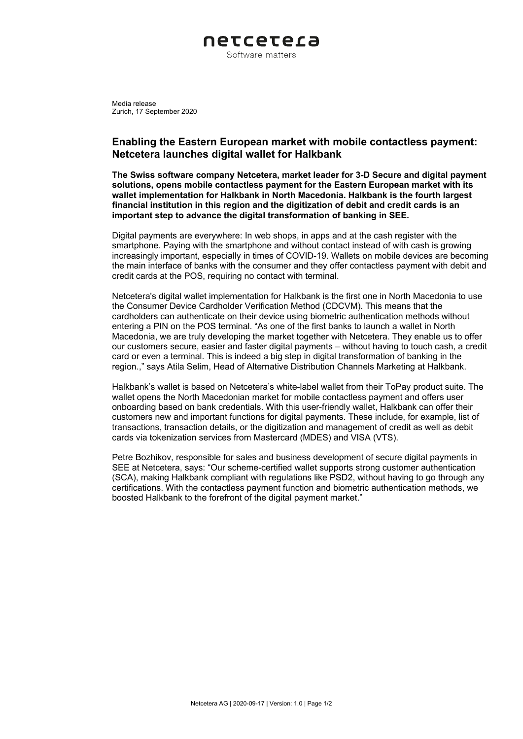

Media release Zurich, 17 September 2020

## **Enabling the Eastern European market with mobile contactless payment: Netcetera launches digital wallet for Halkbank**

**The Swiss software company Netcetera, market leader for 3-D Secure and digital payment solutions, opens mobile contactless payment for the Eastern European market with its wallet implementation for Halkbank in North Macedonia. Halkbank is the fourth largest financial institution in this region and the digitization of debit and credit cards is an important step to advance the digital transformation of banking in SEE.** 

Digital payments are everywhere: In web shops, in apps and at the cash register with the smartphone. Paying with the smartphone and without contact instead of with cash is growing increasingly important, especially in times of COVID-19. Wallets on mobile devices are becoming the main interface of banks with the consumer and they offer contactless payment with debit and credit cards at the POS, requiring no contact with terminal.

Netcetera's digital wallet implementation for Halkbank is the first one in North Macedonia to use the Consumer Device Cardholder Verification Method (CDCVM). This means that the cardholders can authenticate on their device using biometric authentication methods without entering a PIN on the POS terminal. "As one of the first banks to launch a wallet in North Macedonia, we are truly developing the market together with Netcetera. They enable us to offer our customers secure, easier and faster digital payments – without having to touch cash, a credit card or even a terminal. This is indeed a big step in digital transformation of banking in the region.," says Atila Selim, Head of Alternative Distribution Channels Marketing at Halkbank.

Halkbank's wallet is based on Netcetera's white-label wallet from their ToPay product suite. The wallet opens the North Macedonian market for mobile contactless payment and offers user onboarding based on bank credentials. With this user-friendly wallet, Halkbank can offer their customers new and important functions for digital payments. These include, for example, list of transactions, transaction details, or the digitization and management of credit as well as debit cards via tokenization services from Mastercard (MDES) and VISA (VTS).

Petre Bozhikov, responsible for sales and business development of secure digital payments in SEE at Netcetera, says: "Our scheme-certified wallet supports strong customer authentication (SCA), making Halkbank compliant with regulations like PSD2, without having to go through any certifications. With the contactless payment function and biometric authentication methods, we boosted Halkbank to the forefront of the digital payment market."